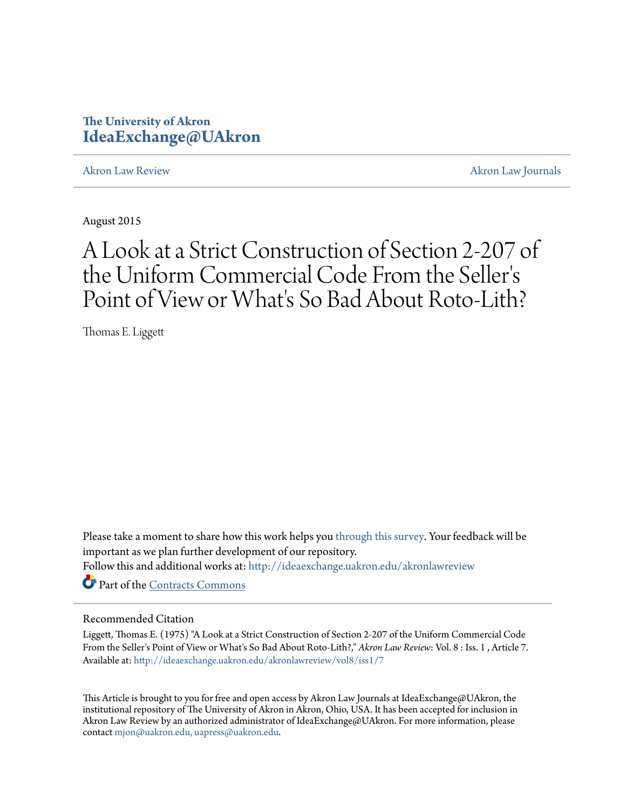# **The University of Akron [IdeaExchange@UAkron](http://ideaexchange.uakron.edu?utm_source=ideaexchange.uakron.edu%2Fakronlawreview%2Fvol8%2Fiss1%2F7&utm_medium=PDF&utm_campaign=PDFCoverPages)**

[Akron Law Review](http://ideaexchange.uakron.edu/akronlawreview?utm_source=ideaexchange.uakron.edu%2Fakronlawreview%2Fvol8%2Fiss1%2F7&utm_medium=PDF&utm_campaign=PDFCoverPages) [Akron Law Journals](http://ideaexchange.uakron.edu/akronlawjournals?utm_source=ideaexchange.uakron.edu%2Fakronlawreview%2Fvol8%2Fiss1%2F7&utm_medium=PDF&utm_campaign=PDFCoverPages)

August 2015

# A Look at a Strict Construction of Section 2-207 of the Uniform Commercial Code From the Seller ' s Point of View or What's So Bad About Roto-Lith?

Thomas E. Liggett

Please take a moment to share how this work helps you [through this survey.](http://survey.az1.qualtrics.com/SE/?SID=SV_eEVH54oiCbOw05f&URL=http://ideaexchange.uakron.edu/akronlawreview/vol8/iss1/7) Your feedback will be important as we plan further development of our repository.

Follow this and additional works at: [http://ideaexchange.uakron.edu/akronlawreview](http://ideaexchange.uakron.edu/akronlawreview?utm_source=ideaexchange.uakron.edu%2Fakronlawreview%2Fvol8%2Fiss1%2F7&utm_medium=PDF&utm_campaign=PDFCoverPages)

Part of the [Contracts Commons](http://network.bepress.com/hgg/discipline/591?utm_source=ideaexchange.uakron.edu%2Fakronlawreview%2Fvol8%2Fiss1%2F7&utm_medium=PDF&utm_campaign=PDFCoverPages)

## Recommended Citation

Liggett, Thomas E. (1975) "A Look at a Strict Construction of Section 2-207 of the Uniform Commercial Code From the Seller's Point of View or What's So Bad About Roto-Lith?," *Akron Law Review*: Vol. 8 : Iss. 1 , Article 7. Available at: [http://ideaexchange.uakron.edu/akronlawreview/vol8/iss1/7](http://ideaexchange.uakron.edu/akronlawreview/vol8/iss1/7?utm_source=ideaexchange.uakron.edu%2Fakronlawreview%2Fvol8%2Fiss1%2F7&utm_medium=PDF&utm_campaign=PDFCoverPages)

This Article is brought to you for free and open access by Akron Law Journals at IdeaExchange@UAkron, the institutional repository of The University of Akron in Akron, Ohio, USA. It has been accepted for inclusion in Akron Law Review by an authorized administrator of IdeaExchange@UAkron. For more information, please contact [mjon@uakron.edu, uapress@uakron.edu.](mailto:mjon@uakron.edu,%20uapress@uakron.edu)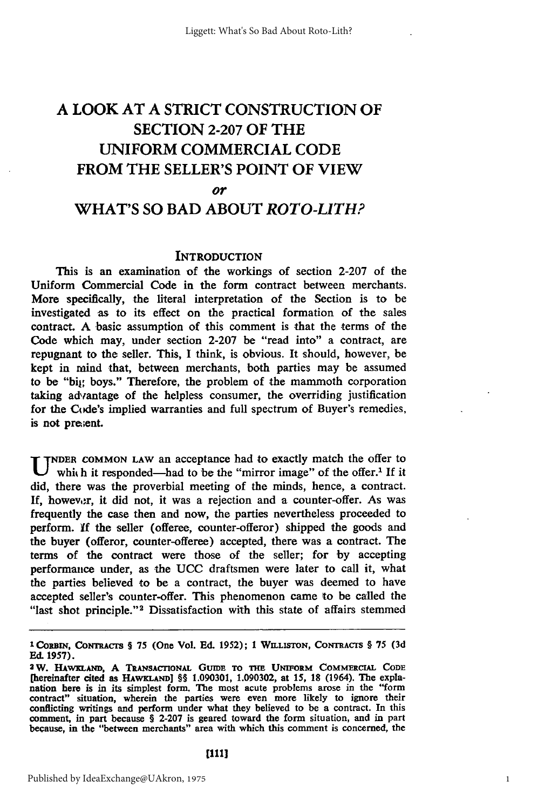## **A** LOOK **AT A** STRICT **CONSTRUCTION** OF **SECTION 2-207** OF THE UNIFORM COMMERCIAL **CODE** FROM THE SELLER'S **POINT** OF VIEW *or* WHAT'S **SO** BAD **ABOUT** *ROTO-LITH?*

### **INTRODUCTION**

This is an examination of the workings of section 2-207 of the Uniform Commercial Code in the form contract between merchants. More specifically, the literal interpretation of the Section is to be investigated as to its effect on the practical formation of the sales contract **A** basic assumption of this comment is that the terms of the Code which may, under section 2-207 be "read into" a contract, are repugnant to the seller. This, I think, is obvious. It should, however, be kept in mind that, between merchants, both parties may be assumed to be "big boys." Therefore, the problem of the mammoth corporation taking advantage of the helpless consumer, the overriding justification for the Code's implied warranties and full spectrum of Buyer's remedies, is not pre;ent.

**U NDER COMMON LAW an acceptance had to exactly match the offer to** which it responded—had to be the "mirror image" of the offer.<sup>1</sup> If it did, there was the proverbial meeting of the minds, hence, a contract. If, however, it did not, it was a rejection and a counter-offer. As was frequently the case then and now, the parties nevertheless proceeded to perform. **If** the seller (offeree, counter-offeror) shipped the goods and the buyer (offeror, counter-offeree) accepted, there was a contract. The terms of the contract were those of the seller; for 'by accepting performance under, as the UCC draftsmen were later to call it, what the parties believed to be a contract, the buyer was deemed to have accepted seller's counter-offer. This phenomenon came to be called the "last shot principle."<sup>2</sup> Dissatisfaction with this state of affairs stemmed

**<sup>1</sup> CORBIN, CoNTrrACrS § 75** (One **Vol. Ed. 1952); 1 WILLISTON, CONTRACTS §** 75 **(3d Ed. 1957).**

**<sup>2</sup>W. HAWKLAND, A TRANSACTIONAL GumE To THE UNIFORM COMMERCIAL CODE** [hereinafter cited as HAWKLAND] §§ 1.090301, 1.090302, at 15, 18 (1964). The expla**nation here is in** its simplest form. The most acute problems arose in the "form contract" situation, wherein the parties were even more likely to ignore their conflicting writings and perform under what they believed to be a contract. In this comment, in part because § **2-207** is geared toward the form situation, and in part because, in the "between merchants" area with which this comment is concerned, the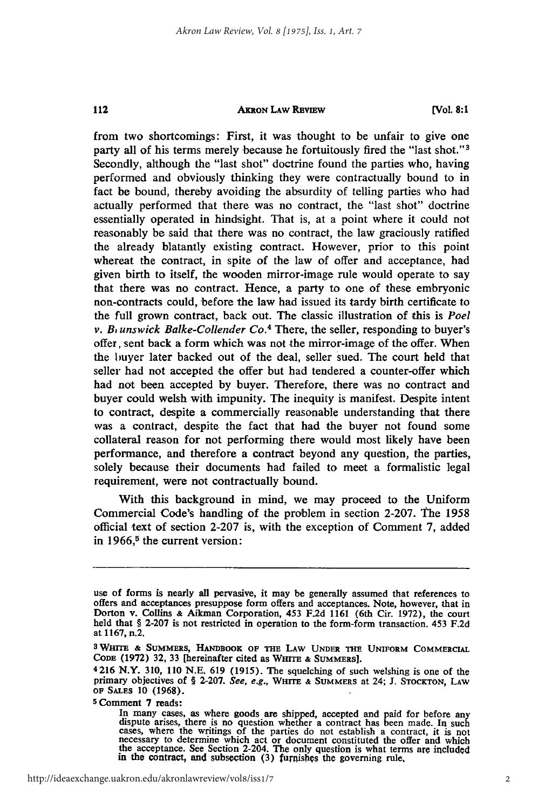### 112

#### **AKRON LAW REVIEW**

**[VOL. 8:1**

from two shortcomings: First, it was thought to be unfair to give one party all of his terms merely because he fortuitously fired the "last shot."<sup>3</sup> Secondly, although the "last shot" doctrine found the parties who, having performed and obviously thinking they were contractually bound to in fact be bound, thereby avoiding the absurdity of telling parties who had actually performed that there was no contract, the "last shot" doctrine essentially operated in hindsight. That is, at a point where it could not reasonably be said that there was no contract, the law graciously ratified the already blatantly existing contract. However, prior to this point whereat the contract, in spite of the law of offer and acceptance, had given birth to itself, the wooden mirror-image rule would operate to say that there was no contract. Hence, a party to one of these embryonic non-contracts could, before the law had issued its tardy birth certificate to the full grown contract, back out. The classic illustration of this is *Poel v. B<sub>r</sub>unswick Balke-Collender Co.<sup>4</sup> There, the seller, responding to buyer's* offer, sent back a form which was not the mirror-image of the offer. When the buyer later backed out of the deal, seller sued. The court held that seller had not accepted the offer but had tendered a counter-offer which had not been accepted by buyer. Therefore, there was no contract and buyer could welsh with impunity. The inequity is manifest. Despite intent to contract, despite a commercially reasonable understanding that there was a contract, despite the fact that had the buyer not found some collateral reason for not performing there would most likely have been performance, and therefore a contract beyond any question, the parties, solely because their documents had failed to meet a formalistic legal requirement, were not contractually bound.

With this background in mind, we may proceed to the Uniform Commercial Code's handling of the problem in section 2-207. The 1958 official text of section 2-207 is, with the exception of Comment 7, added in 1966,<sup>5</sup> the current version:

**5** Comment **7** reads:

use **of** forms is nearly all pervasive, it may be generally assumed that references to offers and acceptances presuppose form offers and acceptances. Note, however, that in Dorton v. Collins **&** Aikman Corporation, 453 F.2d 1161 (6th Cir. 1972), the court held that § 2-207 is not restricted in operation to the form-form transaction. 453 F.2d at 1167, n.2.

**<sup>3</sup> WHITE & SUMMERS, HANDBOOK OF THE LAW UNDER THE UNIFORM** COMMERCIAL **CODE** (1972) 32, 33 [hereinafter cited **as WHITE &** SUMMERS].

<sup>4216</sup> N.Y. 310, 110 N.E. 619 (1915). The squelching of such welshing is one of the primary objectives **of** § 2-207. *See, e.g.,* **WHITE & SUMMERS** at 24; J. **STOCKTON,** LAW **OF SALES 10 (1968).**

In many cases, as where goods are shipped, accepted and paid for before any dispute arises, there is no question whether a contract has been made. In such cases, where the writings of the parties do not establish a contrac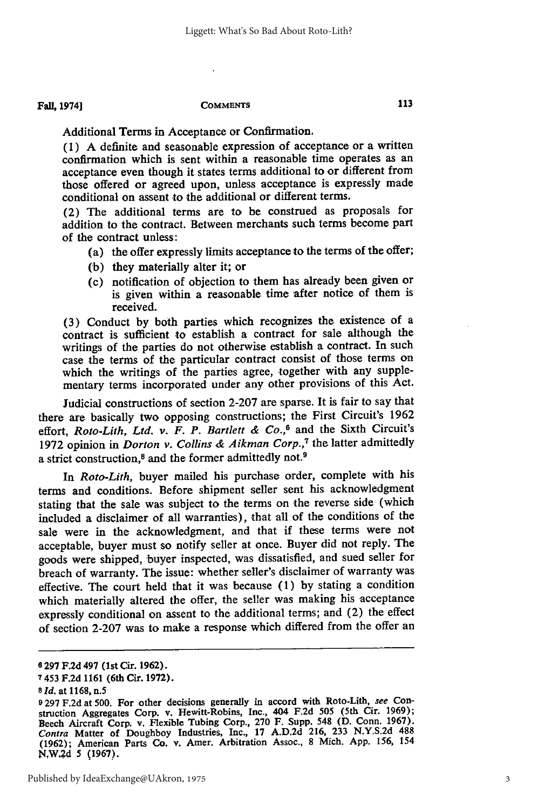Additional Terms in Acceptance or Confirmation.

**(1) A** definite and seasonable expression of acceptance or a written confirmation which is sent within a reasonable time operates as an acceptance even though it states terms additional to or different from those offered or agreed upon, unless acceptance is expressly made conditional on assent to the additional or different terms.

(2) The additional terms are to be construed as proposals for addition to the contract. Between merchants such terms become part of the contract unless:

- (a) the offer expressly limits acceptance to the terms of the offer;
- **(b)** they materially alter it; or
- (c) notification of objection to them has already been given or is given within a reasonable time after notice of them is received.

**(3)** Conduct **by** both parties which recognizes the existence of a contract is sufficient to establish a contract for sale although the writings of the parties do not otherwise establish a contract. In such case the terms of the particular contract consist of those terms on which the writings of the parties agree, together with any supplementary terms incorporated under any other provisions of this Act.

Judicial constructions of section **2-207** are sparse. It is fair to say that there are basically two opposing constructions; the First Circuit's **1962** effort, *Roto-Lith, Ltd. v. F. P. Bartlett & Co.,6* and the Sixth Circuit's **1972** opinion in *Dorton v. Collins & Aikman Corp.,7* the latter admittedly a strict construction,<sup>8</sup> and the former admittedly not.<sup>9</sup>

In *Roto-Lith,* buyer mailed his purchase order, complete with his terms and conditions. Before shipment seller sent his acknowledgment stating that the sale was subject to the terms on the reverse side (which included a disclaimer of all warranties), that all of the conditions of the sale were in the acknowledgment, and that if these terms were not acceptable, buyer must so notify seller at once. Buyer did not reply. The goods were shipped, buyer inspected, was dissatisfied, and sued seller for breach of warranty. The issue: whether seller's disclaimer of warranty was effective. The court held that it was because **(1) by** stating a condition which materially altered the offer, the seller was making his acceptance expressly conditional on assent to the additional terms; and (2) the effect of section **2-207** was to make a response which differed from the offer an

**<sup>6 297</sup> F.2d** 497 **(lst** Cir. **1962).**

**<sup>7</sup>** 453 **F.2d** 1161 (6th Cir. **1972).**

*<sup>8</sup> Id.* at **1168,** n.5

**<sup>9 297</sup> F.2d** at **500.** For other decisions generally in accord with Roto-Lith, see Construction Aggregates Corp. v. Hewitt-Robins, Inc., 404 **F.2d 505** (5th Cir. **1969);** Beech Aircraft Corp. v. Flexible Tubing Corp., **270** F. Supp. 548 **(D.** Conn. **1967).** *Contra* Matter of Doughboy Industries, Inc., **17 A.D.2d 216, 233 N.Y.S.2d 488 (1962);** American Parts Co. v. Amer. Arbitration Assoc., **8** Mich. **App. 156,** 154 **N,W.;d** 5 **(1967).**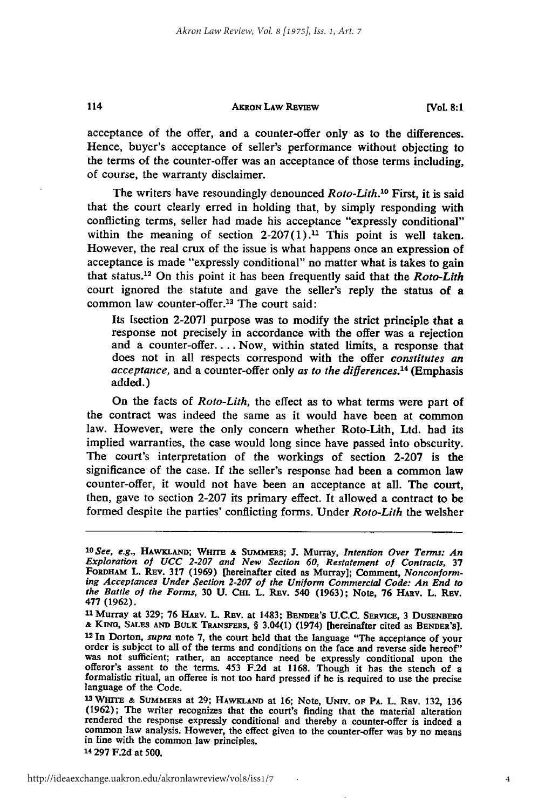#### **AKRON LAW REVIEW**

acceptance of the offer, and a counter-offer only as to the differences. Hence, buyer's acceptance of seller's performance without objecting to the terms of the counter-offer was an acceptance of those terms including, of course, the warranty disclaimer.

The writers have resoundingly denounced *Roto-Lith.10* First, it is said that the court clearly erred in holding that, **by** simply responding with conflicting terms, seller had made his acceptance "expressly conditional" within the meaning of section  $2-207(1)$ .<sup>11</sup> This point is well taken. However, the real crux of the issue is what happens once an expression of acceptance is made "expressly conditional" no matter what is takes to gain that status.12 On this point it has been frequently said that the *Roto-Lith* court ignored the statute and gave the seller's reply the status of a common law counter-offer.<sup>13</sup> The court said:

Its [section 2-207] purpose was to modify the strict principle that a response not precisely in accordance with the offer was a rejection and a counter-offer.... Now, within stated limits, a response that does not in all respects correspond with the offer *constitutes an acceptance,* and a counter-offer only *as to the differences.14* (Emphasis added.)

On the facts of *Roto-Lith,* the effect as to what terms were part of the contract was indeed the same as it would have been at common law. However, were the only concern whether Roto-Lith, Ltd. had its implied warranties, the case would long since have passed into obscurity. The court's interpretation of the workings of section 2-207 is the significance of the case. If the seller's response had been a common law counter-offer, it would not have been an acceptance at all. The court, then, gave to section 2-207 its primary effect. It allowed a contract to be formed despite the parties' conflicting forms. Under *Roto-Lith* the welsher

114

*<sup>1</sup>O See, e.g.,* **HAwKLAND; WHrrE &** SuMMERs; **J.** Murray, *Intention Over Terms: An Exploration of UCC 2-207 and New Section 60, Restatement of Contracts,* **<sup>37</sup>** ing Acceptances Under Section 2-207 of the Uniform Commercial Code: An End to the Battle of the Forms, 30 U. CHI. L. REV. 540 (1963); Note, 76 HARV. L. REV. 477 (1962).

**<sup>477 (1962).</sup>** n Murray at **329; 76** HAv. L. **REv.** at 1483; **BENDER'S U.C.C. SERViCE,** 3 **DUSENBERG & KINo, SALES AND BULK TRANSFERS,** § 3.04(1) (1974) [hereinafter cited as **BENDER'S]. <sup>12</sup>**In Dorton, *supra* note **7,** the court held that the language "The acceptance of your order is subject to all of the terms and conditions on the face and reverse side hereof" was not sufficient; rather, an acceptance need be expressly conditional upon the offeror's assent to the terms. 453 **F.2d** at 1168. Though it has the stench of a formalistic ritual, an offeree is not too hard pressed if he language of the Code.

**<sup>13</sup>WHmTE & SUMMERS** at **29; HAWKLAND** at **16;** Note, UNIV. **OF PA. L.** REv. **132,** 136 **(1962);** The writer recognizes that the court's finding that the material alteration rendered the response expressly conditional and thereby a counter-offer is indeed a common law analysis. However, the effect given to the counter-offer was **by** no means in line with the common law principles. **14 297 F.2d** at **500,**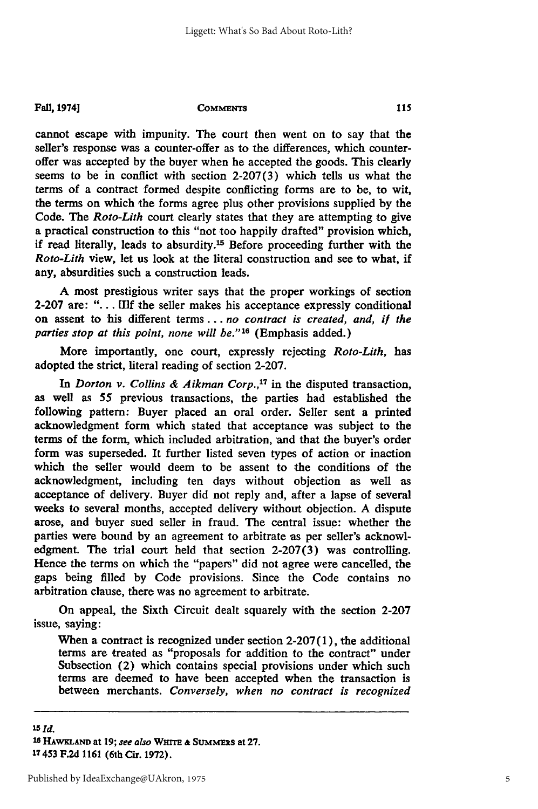cannot escape with impunity. The court then went on to say that the seller's response was a counter-offer as to the differences, which counteroffer was accepted **by** the buyer when **he** accepted the goods. This clearly seems to be in conflict with section **2-207(3)** which tells us what the terms of a contract formed despite conflicting forms are to be, to wit, the terms on which the forms agree plus other provisions supplied **by** the Code. The *Roto-Lith* court clearly states that they are attempting to give a practical construction to this "not too happily drafted" provision which, if read literally, leads to absurdity.<sup>15</sup> Before proceeding further with the *Roto-Lith* view, let us look at the literal construction and see to what, if any, absurdities such a construction leads.

**A** most prestigious writer says that the proper workings of section **2-207** are: **". . . [1f** the seller makes his acceptance expressly conditional on assent to his different terms *... no contract is created, and, ii the parties stop at this point, none will be."'16* (Emphasis added.)

More importantly, one court, expressly rejecting *Roto-Lith, has* adopted the strict, literal reading of section **2-207.**

*In Dorton v. Collins & Aikman Corp.,'7* in the disputed transaction, as well as **55** previous transactions, the parties had established the following pattern: Buyer placed an oral order. Seller sent a printed acknowledgment form which stated that acceptance was subject to the terms of the form, which included arbitration, and that the buyer's order form was superseded. It further listed seven types of action or inaction which the seller would deem to be assent to the conditions of the acknowledgment, including ten days without objection as well as acceptance of delivery. Buyer did not reply and, after a lapse of several weeks to several months, accepted delivery without objection. **A** dispute arose, and buyer sued seller in fraud. The central issue: whether the parties were bound **by** an agreement to arbitrate as per seller's acknowledgment. The trial court held that section **2-207(3)** was controlling. Hence the terms on which the "papers" did not agree were cancelled, the gaps being filled **by** Code provisions. Since the Code contains no arbitration clause, there was no agreement to arbitrate.

On appeal, the Sixth Circuit dealt squarely with the section **2-207** issue, saying:

When a contract is recognized under section **2-207 (1),** the additional terms are treated as "proposals for addition to the contract" under Subsection (2) which contains special provisions under which such terms are deemed to have been accepted when the transaction is between merchants. *Conversely, when no contract is recognized*

*'5Id.* **16I WKLAND at 19;** *see also* **WrT & SUMMERs at 27. 17453 F.2d 1161** (6th Cir. **1972).**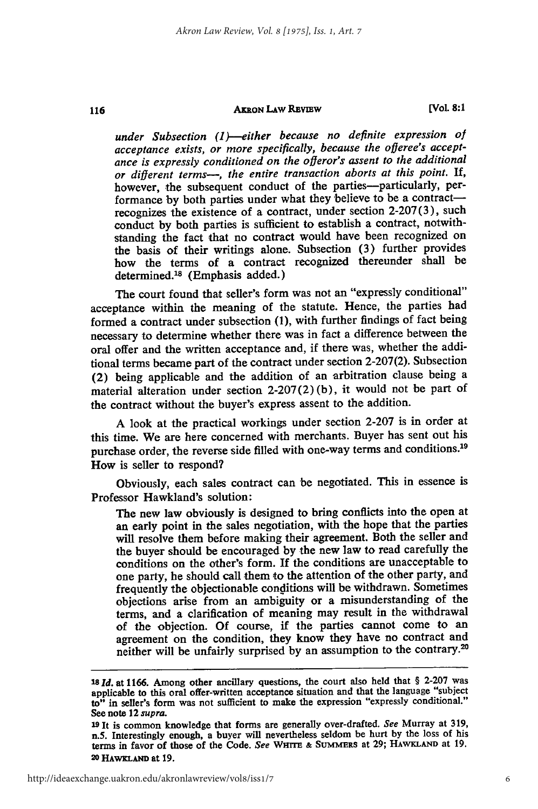#### **AxRON LAW REVIEW**

116

**[Vol. 8:1**

*under Subsection (1)--either because no definite expression of acceptance exists, or more specifically, because the offeree's acceptance is expressly conditioned on the ofleror's assent to the additional or different terms-, the entire transaction aborts at this point. If,* however, the subsequent conduct of the parties-particularly, performance by both parties under what they believe to be a contractrecognizes the existence of a contract, under section 2-207(3), such conduct by both parties is sufficient to establish a contract, notwithstanding the fact that no contract would have been recognized on the basis of their writings alone. Subsection (3) further provides how the terms of a contract recognized thereunder shall be determined.<sup>18</sup> (Emphasis added.)

The court found that seller's form was not an "expressly conditional" acceptance within the meaning of the statute. Hence, the parties had formed a contract under subsection (1), with further findings of fact being necessary to determine whether there was in fact a difference between the oral offer and the written acceptance and, if there was, whether the additional terms became part of the contract under section 2-207(2). Subsection (2) being applicable and the addition of an arbitration clause being a material alteration under section  $2-207(2)$  (b), it would not be part of the contract without the buyer's express assent to the addition.

A look at the practical workings under section 2-207 is in order at this time. We are here concerned with merchants. Buyer has sent out his purchase order, the reverse side filled with one-way terms and conditions.<sup>19</sup> How is seller to respond?

Obviously, each sales contract can be negotiated. This in essence is Professor Hawkland's solution:

The new law obviously is designed to bring conflicts into the open at an early point in the sales negotiation, with the hope that the parties will resolve them before making their agreement. Both the seller and the buyer should be encouraged by the new law to read carefully the conditions on the other's form. If the conditions are unacceptable to one party, he should call them to the attention of the other party, and frequently the objectionable conditions will be withdrawn. Sometimes objections arise from an ambiguity or a misunderstanding of the terms, and a clarification of meaning may result in the withdrawal of the objection. Of course, if the parties cannot come to an agreement on the condition, they know they have no contract and neither will be unfairly surprised by an assumption to the contrary.<sup>20</sup>

http://ideaexchange.uakron.edu/akronlawreview/vol8/iss1/7

**<sup>18</sup>***Id.* at **1166.** Among other ancillary questions, the court also held that § **2-207** was applicable to this oral offer-written acceptance situation and that the language "subject to" in seller's form was not sufficient to make the expression "expressly conditional." See note 12 *supra.*

**<sup>19</sup>**It is common knowledge that forms are generally over-drafted. See Murray at **319,** n.5. Interestingly enough, a buyer will nevertheless seldom be hurt **by** the loss of his terms in favor of those of the Code. See WHITE & SUMMERS at 29; HAWKLAND at 19. **20 HAwKLAND** at **19.**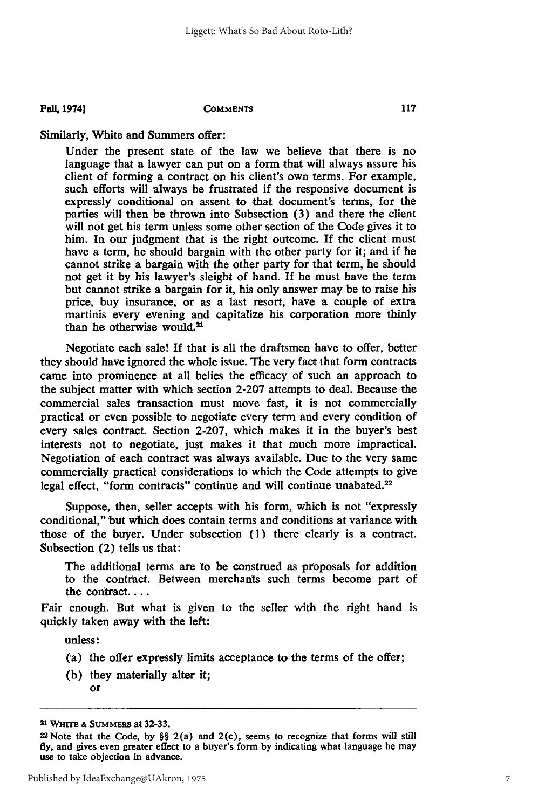#### **Fall, 1974]**

#### **COMMENTS**

### Similarly, White and Summers offer:

Under the present state of the law we believe that there is no language that a lawyer can put on a form that will always assure his client of forming a contract on his client's own terms. For example, such efforts will always be frustrated if the responsive document is expressly conditional on assent to that document's terms, for the parties will then be thrown into Subsection (3) and there the client will not get his term unless some other section of the Code gives it to him. In our judgment that is the right outcome. If the client must have a term, he should bargain with the other party for it; and if he cannot strike a bargain with the other party for that term, he should not get it by his lawyer's sleight of hand. **If** he must have the term but cannot strike a bargain for it, his only answer may be to raise his price, buy insurance, or as a last resort, have a couple of extra martinis every evening and capitalize his corporation more thinly than he otherwise would.21

Negotiate each sale! If that is all the draftsmen have to offer, better they should have ignored the whole issue. The very fact that form contracts came into prominence at all belies the efficacy of such an approach to the subject matter with which section 2-207 attempts to deal. Because the commercial sales transaction must move fast, it is not commercially practical or even possible to negotiate every term and every condition of every sales contract. Section 2-207, which makes it in the buyer's best interests not to negotiate, just makes it that much more impractical. Negotiation of each contract was always available. Due to the very same commercially practical considerations to which the Code attempts to give legal effect, "form contracts" continue and will continue unabated.<sup>22</sup>

Suppose, then, seller accepts with his form, which is not "expressly conditional," but which does contain terms and conditions at variance with those of the buyer. Under subsection **(1)** there clearly is a contract. Subsection (2) tells us that:

The additional terms are to be construed as proposals for addition to the contract. Between merchants such terms become part of the contract....

Fair enough. But what is given to the seller with the right hand is quickly taken away with the left:

unless:

- (a) the offer expressly limits acceptance to the terms **of** the offer;
- **(b)** they materially alter it; or

*<sup>21</sup>***Wm & SUMMERS at 32-33.**

**<sup>22</sup> Note that the Code, by** §§ 2(a) and 2(c), seems to recognize that forms will still **fly,** and gives even greater effect to a buyer's form **by** indicating what language he may **use to take objection in advance.**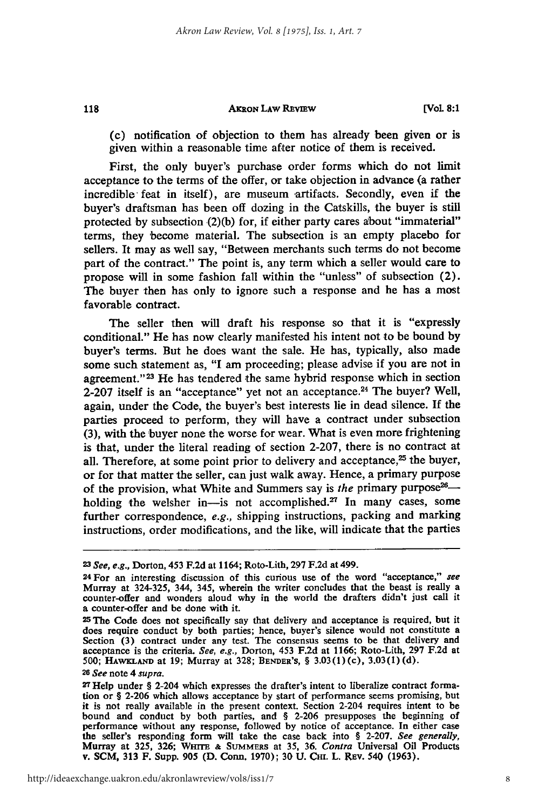#### **AxRON LAW REvIEW**

(c) notification of objection to them has already been given or is given within a reasonable time after notice of them is received.

First, the only buyer's purchase order forms which do not limit acceptance to the terms of the offer, or take objection in advance (a rather incredible feat in itself), are museum artifacts. Secondly, even if the buyer's draftsman has been off dozing in the Catskills, the buyer is still protected by subsection (2)(b) for, if either party cares about "immaterial" terms, they become material. The subsection is an empty placebo for sellers. It may as well say, "Between merchants such terms do not become part of the contract." The point is, any term which a seller would care to propose will in some fashion fall within the "unless" of subsection (2). The buyer then has only to ignore such a response and he has a most favorable contract.

The seller then will draft his response so that it is "expressly conditional." He has now clearly manifested his intent not to be bound **by** buyer's terms. But he does want the sale. He has, typically, also made some such statement as, **"I** am proceeding; please advise if you are not in agreement."<sup>23</sup> He has tendered the same hybrid response which in section **2-207** itself is an "acceptance" yet not an acceptance. 24 The buyer? Well, again, under the Code, the buyer's best interests lie in dead silence. If the parties proceed to perform, they will have a contract under subsection **(3),** with the buyer none the worse for wear. What is even more frightening is that, under the literal reading of section **2-207,** there is no contract at all. Therefore, at some point prior to delivery and acceptance,<sup>25</sup> the buyer, or for that matter the seller, can just walk away. Hence, a primary purpose of the provision, what White and Summers say is *the* primary purpose<sup>26</sup>holding the welsher in-is not accomplished.<sup>27</sup> In many cases, some further correspondence, *e.g.,* shipping instructions, packing and marking instructions, order modifications, and the like, will indicate that the parties

*<sup>23</sup> See, e.g.,* Dorton, 453 **F.2d** at **1164;** Roto-Lith, **297 F.2d** at 499.

**<sup>24</sup>**For an interesting discussion of this curious use of the word "acceptance," *see* Murray at 324-325, 344, 345, wherein the writer concludes that the beast is really a counter-offer and wonders aloud why in the world the drafters didn't just call it a counter-offer and be done with it.

**<sup>25</sup>**The Code does not specifically say that delivery and acceptance is required, hut it does require conduct by both parties; hence, buyer's silence would not constitute a Section **(3)** contract under any test. The consensus seems to be that delivery and acceptance is the criteria. *See, e.g.,* Dorton, 453 F.2d at 1166; Roto-Lith, 297 F.2d at 500; **HAwKLAND** at 19; Murray at 328; **BENDER'S,** § 3.03(1)(c), 3.03(1)(d).

*<sup>26</sup>See* note 4 *supra.*

**<sup>27</sup>** Help under **§** 2-204 which expresses the drafter's intent to liberalize contract formation or § **2-206** which allows acceptance **by** start of performance seems promising, but it is not really available in the present context. Section 2-204 requires intent to be bound and conduct **by** both parties, and § **2-206** presupposes the beginning of performance without any response, followed **by** notice of acceptance. In either case the seller's responding form will take the case back into § 2-207. *See generally*, Murray at 325, 326; WHITE & SUMMERS at 35, 36. *Contra* Universal Oil Products v. **SCM, 313** F. Supp. **905 (D.** Conn. **1970); 30 U. Cm.** L. REv. 540 **(1963).**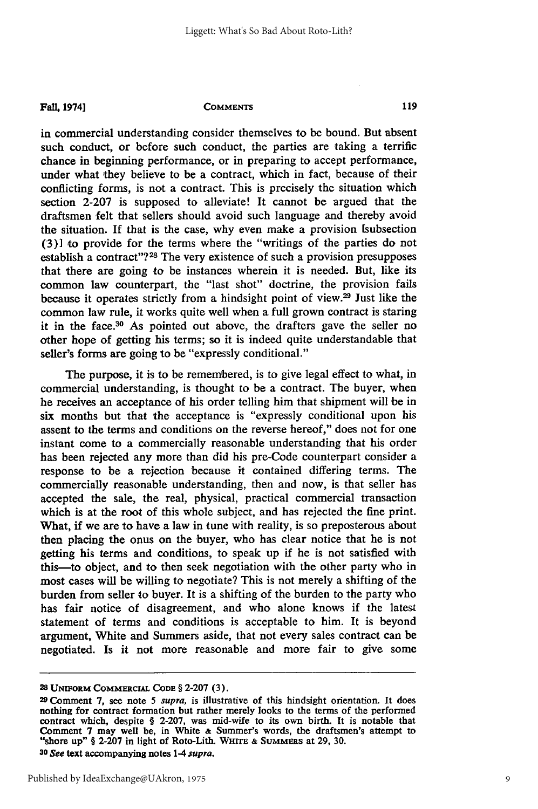in commercial understanding consider themselves to be bound. But absent such conduct, or before such conduct, the parties are taking a terrific chance in beginning performance, or in preparing to accept performance, under what they believe to be a contract, which in fact, because of their conflicting forms, is not a contract. This is precisely the situation which section 2-207 is supposed to alleviate! It cannot be argued that the draftsmen felt that sellers should avoid such language and thereby avoid the situation. **If** that is the case, why even make a provision [subsection (3)] to provide for the terms where the "writings of the parties do not establish a contract"?<sup>28</sup> The very existence of such a provision presupposes that there are going to be instances wherein it is needed. But, like its common law counterpart, the "last shot" doctrine, the provision fails because it operates strictly from a hindsight point of view. 29 Just like the common law rule, it works quite well when a full grown contract is staring it in the face.<sup>30</sup> As pointed out above, the drafters gave the seller no other hope of getting his terms; so it is indeed quite understandable that seller's forms are going to be "expressly conditional."

The purpose, it is to be remembered, is to give legal effect to what, in commercial understanding, is thought to be a contract. The buyer, when he receives an acceptance of his order telling him that shipment will be in six months but that the acceptance is "expressly conditional upon his assent to the terms and conditions on the reverse hereof," does not for one instant come to a commercially reasonable understanding that his order has been rejected any more than did his pre-Code counterpart consider a response to be a rejection because it contained differing terms. The commercially reasonable understanding, then and now, is that seller has accepted the sale, the real, physical, practical commercial transaction which is at the root of this whole subject, and has rejected the fine print. What, if we are to have a law in tune with reality, is so preposterous about then placing the onus on the buyer, who has clear notice that he is not getting his terms and conditions, to speak up if he is not satisfied with this-to object, and to then seek negotiation with the other party who in most cases will be willing to negotiate? This is not merely a shifting of the burden from seller to buyer. It is a shifting of the burden to the party who has fair notice of disagreement, and who alone knows if the latest statement of terms and conditions is acceptable to him. It is beyond argument, White and Summers aside, that not every sales contract can be negotiated. Is it not more reasonable and more fair to give some

**<sup>28</sup> UMFORM COMMERCIAL CODE** § **2-207** (3).

**<sup>29</sup>**Comment **7,** see note 5 *supra,* is illustrative of this hindsight orientation. It does nothing for contract formation but rather merely looks to the terms of the performed contract which, despite § 2-207, was mid-wife to its own birth. **It** is notable that Comment **7** may well be, in White **&** Summer's words, the draftsmen's attempt to "shore **up" § 2-207** in light **of** Roto-Lith. **WHIm & SuMMERs at 29, 30.**

*<sup>30</sup> See* **text accompanying notes 1-4** *supra.*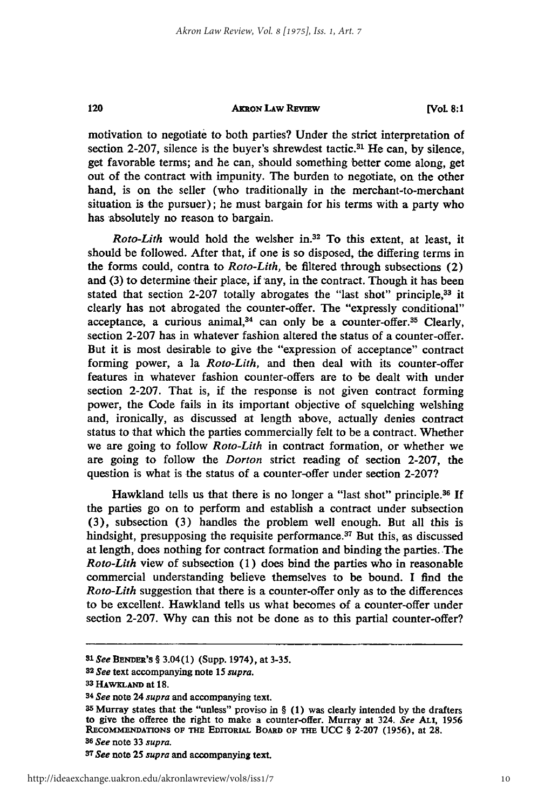120

#### **AKRoN LAw REvEW**

**[Vol. 8:1**

motivation to negotiate to both parties? Under the strict interpretation of section **2-207,** silence is the buyer's shrewdest tactic.31 He can, **by** silence, get favorable terms; and he can, should something better come along, get out of the contract with impunity. The burden to negotiate, on the other hand, is on the seller (who traditionally in the merchant-to-merchant situation is the pursuer); he must bargain for his terms with a party who has absolutely no reason to bargain.

*Roto-Lith* would hold the welsher **in.3 <sup>2</sup>**To this extent, at least, it should be followed. After that, if one is so disposed, the differing terms in the forms could, contra to *Roto-Lith,* be filtered through subsections (2) and (3) to determine their place, if any, in the contract. Though it has been stated that section 2-207 totally abrogates the "last shot" principle,<sup>33</sup> it clearly has not abrogated the counter-offer. The "expressly conditional" acceptance, a curious animal, $34$  can only be a counter-offer. $35$  Clearly, section **2-207** has in whatever fashion altered the status of a counter-offer. But it is most desirable to give the "expression of acceptance" contract forming power, a la *Roto-Lith*, and then deal with its counter-offer features in whatever fashion counter-offers are to be dealt with under section **2-207.** That is, if the response is not given contract forming power, the Code fails in its important objective of squelching welshing and, ironically, as discussed at length above, actually denies contract status to that which the parties commercially felt to be a contract. Whether we are going to follow *Roto-Lith* in contract formation, or whether we are going to follow the *Dorton* strict reading of section **2-207,** the question is what is the status of a counter-offer under section **2-207?**

Hawkland tells us that there is no longer a "last shot" principle.<sup>36</sup> If the parties go on to perform and establish a contract under subsection **(3),** subsection **(3)** handles the problem well enough. But all this is hindsight, presupposing the requisite performance. $37$  But this, as discussed at length, does nothing for contract formation and binding the parties. The *Roto-Lith* view of subsection **(1)** does bind the parties who in reasonable commercial understanding believe themselves to be bound. **I** find the *Roto-Lith* suggestion that there is a counter-offer only as to the differences to be excellent. Hawkland tells us what becomes of a counter-offer under section **2-207. Why** can this not be done as to this partial counter-offer?

*<sup>31</sup>See* **BENDER'S** § 3.04(1) (Supp. 1974), at **3-35.** *<sup>3</sup>*

*<sup>2</sup> See* text accompanying note 15 *supra.*

<sup>33</sup> HAWKLAND at 18.

*<sup>34</sup> See* note 24 *supra* and accompanying text.

**<sup>35</sup>**Murray states that the "unless" proviso in § **(1)** was clearly intended **by** the drafters to give the offeree the right to make a **counter-offer. Murray at** 324. *See* Ai, **<sup>1956</sup> RECOMMENDATONS OF THE EDITORIAL BoARD** op **TrHE UCC** § **2-207 (1956),** at **28.** *36 See* note 33 *supra.*

**<sup>37</sup>** *See* **note 25** *supra* and accompanying text.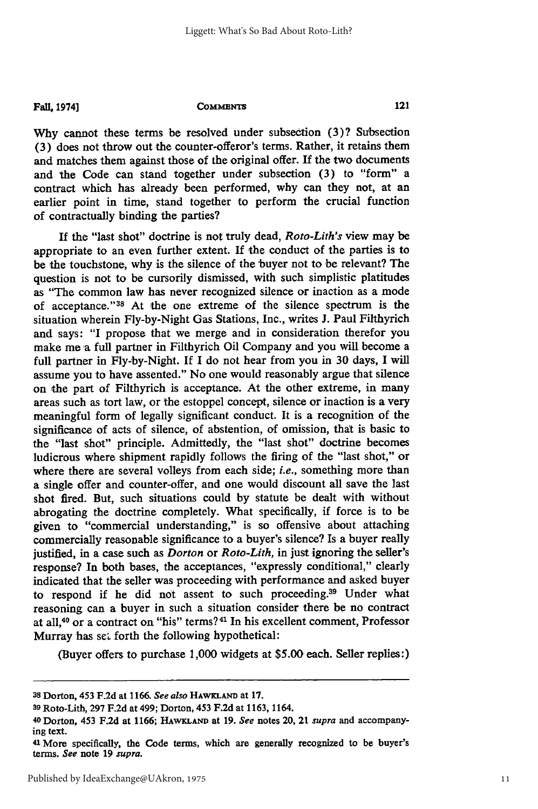Why cannot these terms be resolved under subsection (3)? Subsection (3) does not throw out the counter-offeror's terms. Rather, it retains them and matches them against those of the original offer. If the two documents and the Code can stand together under subsection (3) to "form" a contract which has already been performed, why can they not, at an earlier point in time, stand together to perform the crucial function of contractually binding the parties?

If the "last shot" doctrine is not truly dead, *Roto-Lith's* view may be appropriate to an even further extent. If the conduct of the parties is to be the touchstone, why is the silence of the 'buyer not to be relevant? The question is not to be cursorily dismissed, with such simplistic platitudes as "The common law has never recognized silence or inaction as a mode of acceptance."<sup>38</sup> At the one extreme of the silence spectrum is the situation wherein Fly-by-Night Gas Stations, Inc., writes J. Paul Filthyrich and says: "I propose that we merge and in consideration therefor you make me a full partner in Filthyrich Oil Company and you will become a full partner in Fly-by-Night. If I do not hear from you in 30 days, I will assume you to have assented." No one would reasonably argue that silence on the part of Filthyrich is acceptance. At the other extreme, in many areas such as tort law, or the estoppel concept, silence or inaction is a very meaningful form of legally significant conduct. It is a recognition of the significance of acts of silence, of abstention, of omission, that is basic to the "last shot" principle. Admittedly, the "last shot" doctrine becomes ludicrous where shipment rapidly follows the firing of the "last shot," or where there are several volleys from each side; *i.e.,* something more than a single offer and counter-offer, and one would discount all save the last shot fired. But, such situations could by statute be dealt with without abrogating the doctrine completely. What specifically, if force is to be given to "commercial understanding," is so offensive about attaching commercially reasonable significance to a buyer's silence? Is a buyer really justified, in a case such as *Dorton* or *Roto-Lith,* in just ignoring the seller's response? In both bases, the acceptances, "expressly conditional," clearly indicated that the seller was proceeding with performance and asked buyer to respond if he did not assent to such proceeding.<sup>39</sup> Under what reasoning can a buyer in such a situation consider there be no contract at all,40 or a contract on "his" terms? **41** In his excellent comment, Professor Murray has set forth the following hypothetical:

(Buyer offers to purchase 1,000 widgets at \$5.00 each. Seller replies:)

**<sup>38</sup>**Dorton, 453 F.2d at 1166. *See also* HAwxLAND at **17.**

**<sup>39</sup>**Roto-Lith, 297 F.2d at 499; Dorton, 453 F.2d at 1163, 1164. <sup>4</sup> o Dorton, 453 F.2d at 1166; **HAWKLAND** at 19. *See* notes 20, 21 *supra* and accompanying text.

**<sup>41</sup>**More specifically, the Code terms, which are generally recognized to be buyer's terms. *See* note 19 *supra.*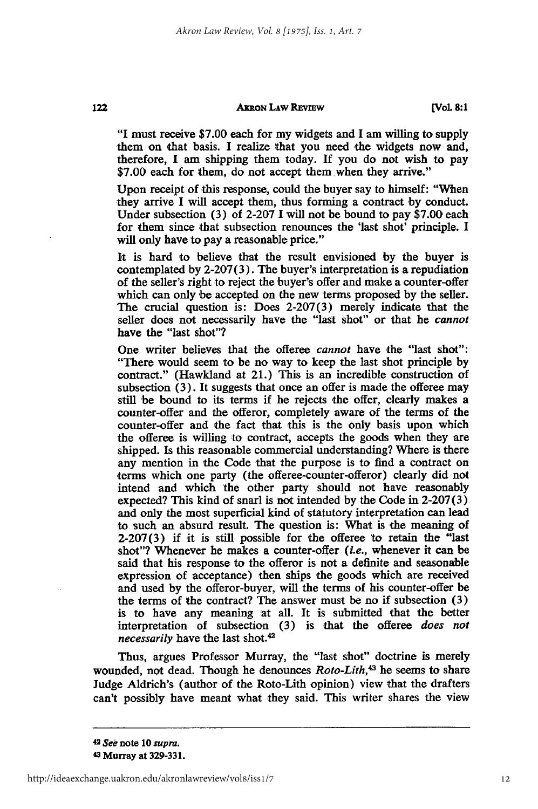#### **AKRON LAW REVIEW**

**[VoL 8:1**

"I must receive **\$7.00** each for my widgets and I am willing to supply them on that basis. I realize that you need the widgets now and, therefore, I am shipping them today. If you do not wish to pay **\$7.00** each for them, do not accept them when they arrive."

Upon receipt of this response, could the buyer say to himself: "When they arrive I will accept them, thus forming a contract by conduct. Under subsection **(3)** of **2-207 I** will not be bound to pay **\$7.00** each for them since that subsection renounces the 'last shot' principle. I will only have to pay a reasonable price."

It is hard to believe that the result envisioned **by** the buyer is contemplated **by 2-207 (3).** The buyer's interpretation is a repudiation of the seller's right to reject the buyer's offer and make a counter-offer which can only be accepted on the new terms proposed **by** the seller. The crucial question is: Does **2-207(3)** merely indicate that the seller does not necessarily have the "last shot" or that he *cannot* have the "last shot"?

One writer believes that the offeree *cannot* have the "last shot": "There would seem to be no way to keep the last shot principle **by** contract." (Hawkland at 21.) This is an incredible construction of subsection **(3).** It suggests that once an offer is made the offeree may still be bound to its terms if he rejects the offer, clearly makes a counter-offer and the offeror, completely aware of the terms of the counter-offer and the fact that this is the only basis upon which the offeree is willing to contract, accepts the goods when they are shipped. Is this reasonable commercial understanding? Where is there any mention in the Code that the purpose is to find a contract on terms which one party (the offeree-counter-offeror) clearly did not intend and which the other party should not have reasonably expected? This kind of snarl is not intended **by** the Code in **2-207(3)** and only the most superficial kind of statutory interpretation can lead to such an absurd result. The question is: What is the meaning of **2-207(3)** if it is still possible for the offeree to retain the "last shot"? Whenever he makes a counter-offer *(i.e.,* whenever it can be said that his response to the offeror is not a definite and seasonable expression of acceptance) then ships the goods which are received and used **by** the offeror-buyer, will the terms of his counter-offer be the terms of the contract? The answer must be no if subsection **(3)** is to have any meaning at all. It is submitted that the better interpretation of subsection **(3)** is that the offeree *does not necessarily* have the last shot.<sup>42</sup>

Thus, argues Professor Murray, the "last shot" doctrine is merely wounded, not dead. Though he denounces *Roto-Lith,4 3* he seems to share Judge Aldrich's (author of the Roto-Lith opinion) view that the drafters can't possibly have meant what they said. This writer shares the view

<sup>42</sup>*See* note **10** *supra.* **<sup>4</sup> 3 Murray at 329-331.**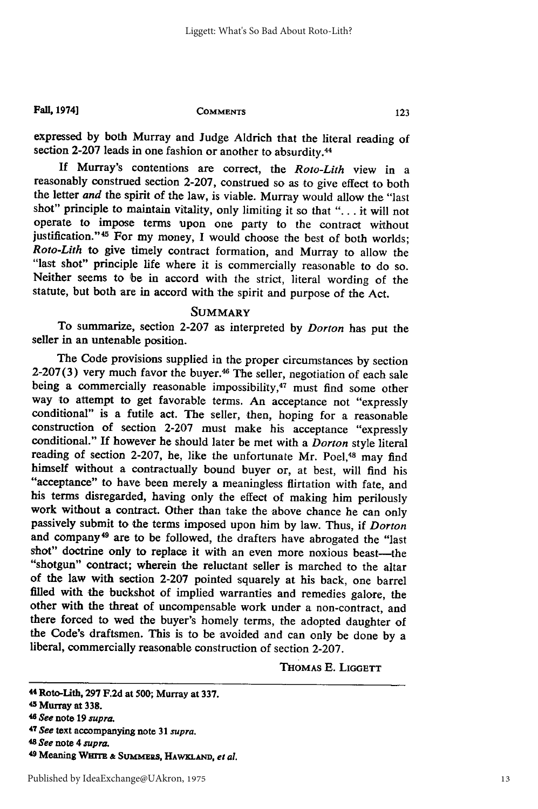#### **Fall, 1974]**

#### **COMMENTS**

expressed **by** both Murray and Judge Aldrich that the literal reading of section 2-207 leads in one fashion or another to absurdity.<sup>44</sup>

If Murray's contentions are correct, the *Roto-Lith* view in a reasonably construed section 2-207, construed so as to give effect to both the letter *and* the spirit of the law, is viable. Murray would allow the "last shot" principle to maintain vitality, only limiting it so that "... it will not operate to impose terms upon one party to the contract without justification."<sup>45</sup> For my money, I would choose the best of both worlds; *Roto-Lith* to give timely contract formation, and Murray to allow the "last shot" principle life where it is commercially reasonable to do so. Neither seems to be in accord with the strict, literal wording of the statute, but both are in accord with the spirit and purpose of the Act.

### **SUMMARY**

To summarize, section **2-207** as interpreted **by** *Dorton* has put the seller in an untenable position.

The Code provisions supplied in the proper circumstances **by** section 2-207(3) very much favor the buyer.<sup>46</sup> The seller, negotiation of each sale being a commercially reasonable impossibility,<sup>47</sup> must find some other way to attempt to get favorable terms. An acceptance not "expressly conditional" is a futile act. The seller, then, hoping for a reasonable construction of section **2-207** must make his acceptance "expressly conditional." **If** however he should later be met with a *Dorton* style literal reading of section 2-207, he, like the unfortunate Mr. Poel,<sup>48</sup> may find himself without a contractually bound buyer or, at best, will find his "acceptance" to have been merely a meaningless flirtation with fate, and his terms disregarded, having only the effect of making him perilously work without a contract. Other than take the above chance he can only passively submit to the terms imposed upon him **by** law. Thus, if *Dorton* and company 49 are to be followed, the drafters have abrogated the "last shot" doctrine only to replace it with an even more noxious beast-the "shotgun" contract; wherein the reluctant seller is marched to the altar of the law with section **2-207** pointed squarely at his back, one barrel **filled** with the buckshot of implied warranties and remedies galore, the other with the threat of uncompensable work under a non-contract, and there forced to wed the buyer's homely terms, the adopted daughter of the Code's draftsmen. This is to be avoided and can only be done **by** <sup>a</sup> liberal, commercially reasonable construction of section **2-207.**

THOMAS **E. LIGGETT**

<sup>44</sup> Roto-Lith, **297 F.2d** at **500;** Murray at **337.**

Murray at **338.**

**<sup>46</sup>***See* note **19** *supra.*

**<sup>47</sup>***See* text accompanying note **31 supra.**

**<sup>48</sup>***See* note 4 *supra.*

**<sup>49</sup>**Meaning **WHm &** Sum1.zs, HAwxLAm, *et al.*